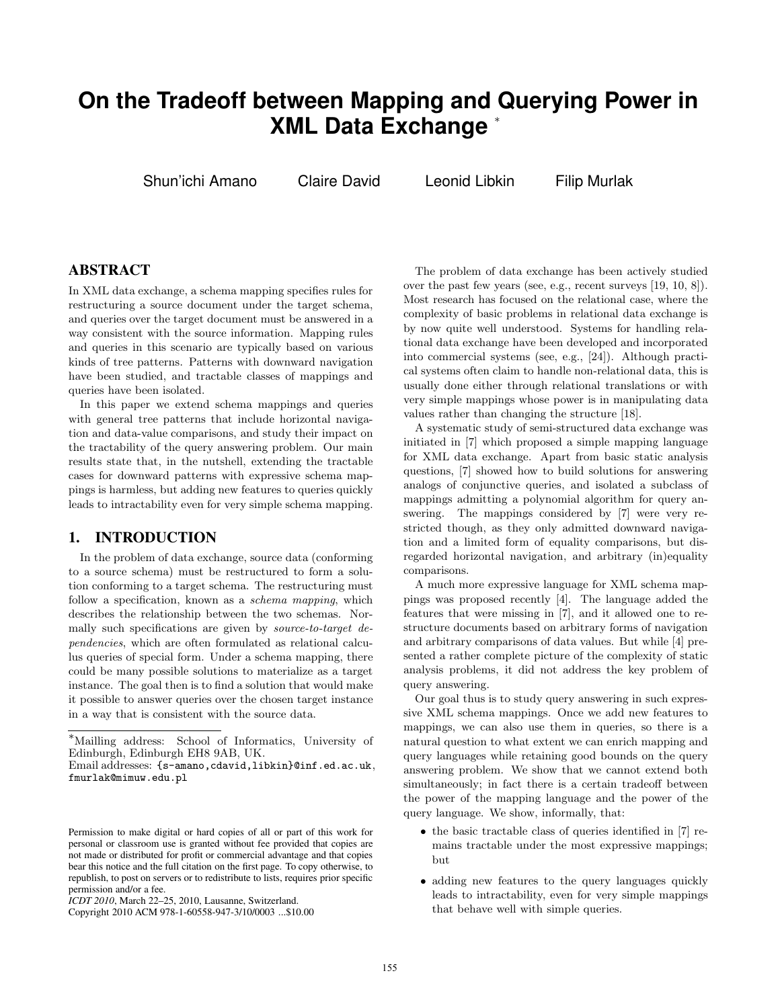# **On the Tradeoff between Mapping and Querying Power in XML Data Exchange** <sup>∗</sup>

Shun'ichi Amano Claire David Leonid Libkin Filip Murlak

# **ABSTRACT**

In XML data exchange, a schema mapping specifies rules for restructuring a source document under the target schema, and queries over the target document must be answered in a way consistent with the source information. Mapping rules and queries in this scenario are typically based on various kinds of tree patterns. Patterns with downward navigation have been studied, and tractable classes of mappings and queries have been isolated.

In this paper we extend schema mappings and queries with general tree patterns that include horizontal navigation and data-value comparisons, and study their impact on the tractability of the query answering problem. Our main results state that, in the nutshell, extending the tractable cases for downward patterns with expressive schema mappings is harmless, but adding new features to queries quickly leads to intractability even for very simple schema mapping.

# **1. INTRODUCTION**

In the problem of data exchange, source data (conforming to a source schema) must be restructured to form a solution conforming to a target schema. The restructuring must follow a specification, known as a *schema mapping*, which describes the relationship between the two schemas. Normally such specifications are given by source-to-target dependencies, which are often formulated as relational calculus queries of special form. Under a schema mapping, there could be many possible solutions to materialize as a target instance. The goal then is to find a solution that would make it possible to answer queries over the chosen target instance in a way that is consistent with the source data.

The problem of data exchange has been actively studied over the past few years (see, e.g., recent surveys [19, 10, 8]). Most research has focused on the relational case, where the complexity of basic problems in relational data exchange is by now quite well understood. Systems for handling relational data exchange have been developed and incorporated into commercial systems (see, e.g., [24]). Although practical systems often claim to handle non-relational data, this is usually done either through relational translations or with very simple mappings whose power is in manipulating data values rather than changing the structure [18].

A systematic study of semi-structured data exchange was initiated in [7] which proposed a simple mapping language for XML data exchange. Apart from basic static analysis questions, [7] showed how to build solutions for answering analogs of conjunctive queries, and isolated a subclass of mappings admitting a polynomial algorithm for query answering. The mappings considered by [7] were very restricted though, as they only admitted downward navigation and a limited form of equality comparisons, but disregarded horizontal navigation, and arbitrary (in)equality comparisons.

A much more expressive language for XML schema mappings was proposed recently [4]. The language added the features that were missing in [7], and it allowed one to restructure documents based on arbitrary forms of navigation and arbitrary comparisons of data values. But while [4] presented a rather complete picture of the complexity of static analysis problems, it did not address the key problem of query answering.

Our goal thus is to study query answering in such expressive XML schema mappings. Once we add new features to mappings, we can also use them in queries, so there is a natural question to what extent we can enrich mapping and query languages while retaining good bounds on the query answering problem. We show that we cannot extend both simultaneously; in fact there is a certain tradeoff between the power of the mapping language and the power of the query language. We show, informally, that:

- the basic tractable class of queries identified in [7] remains tractable under the most expressive mappings; but
- adding new features to the query languages quickly leads to intractability, even for very simple mappings that behave well with simple queries.

<sup>∗</sup>Mailling address: School of Informatics, University of Edinburgh, Edinburgh EH8 9AB, UK.

Email addresses: {s-amano,cdavid,libkin}@inf.ed.ac.uk, fmurlak@mimuw.edu.pl

Permission to make digital or hard copies of all or part of this work for personal or classroom use is granted without fee provided that copies are not made or distributed for profit or commercial advantage and that copies bear this notice and the full citation on the first page. To copy otherwise, to republish, to post on servers or to redistribute to lists, requires prior specific permission and/or a fee.

*ICDT 2010*, March 22–25, 2010, Lausanne, Switzerland.

Copyright 2010 ACM 978-1-60558-947-3/10/0003 ...\$10.00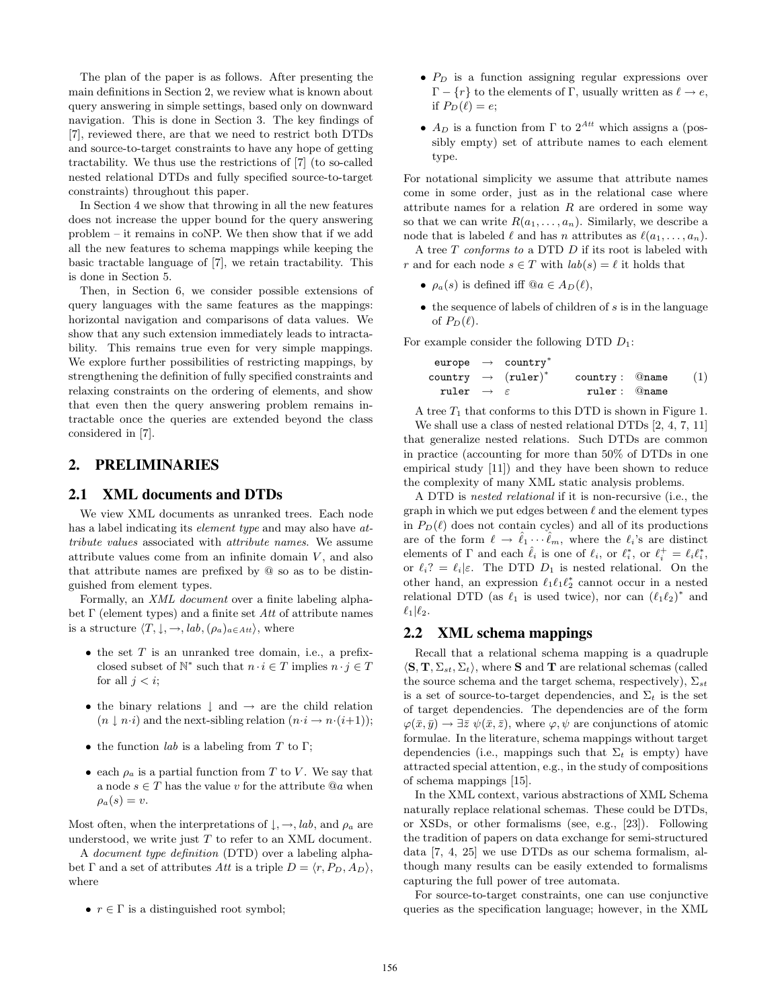The plan of the paper is as follows. After presenting the main definitions in Section 2, we review what is known about query answering in simple settings, based only on downward navigation. This is done in Section 3. The key findings of [7], reviewed there, are that we need to restrict both DTDs and source-to-target constraints to have any hope of getting tractability. We thus use the restrictions of [7] (to so-called nested relational DTDs and fully specified source-to-target constraints) throughout this paper.

In Section 4 we show that throwing in all the new features does not increase the upper bound for the query answering problem – it remains in coNP. We then show that if we add all the new features to schema mappings while keeping the basic tractable language of [7], we retain tractability. This is done in Section 5.

Then, in Section 6, we consider possible extensions of query languages with the same features as the mappings: horizontal navigation and comparisons of data values. We show that any such extension immediately leads to intractability. This remains true even for very simple mappings. We explore further possibilities of restricting mappings, by strengthening the definition of fully specified constraints and relaxing constraints on the ordering of elements, and show that even then the query answering problem remains intractable once the queries are extended beyond the class considered in [7].

# **2. PRELIMINARIES**

### **2.1 XML documents and DTDs**

We view XML documents as unranked trees. Each node has a label indicating its *element type* and may also have  $at$ tribute values associated with attribute names. We assume attribute values come from an infinite domain  $V$ , and also that attribute names are prefixed by @ so as to be distinguished from element types.

Formally, an XML document over a finite labeling alphabet  $\Gamma$  (element types) and a finite set Att of attribute names is a structure  $\langle T, \downarrow, \rightarrow, \text{lab}, (\rho_a)_{a \in Att} \rangle$ , where

- $\bullet$  the set T is an unranked tree domain, i.e., a prefixclosed subset of  $\mathbb{N}^*$  such that  $n \cdot i \in T$  implies  $n \cdot j \in T$ for all  $i < i$ ;
- the binary relations  $\downarrow$  and  $\rightarrow$  are the child relation  $(n \downarrow n \cdot i)$  and the next-sibling relation  $(n \cdot i \rightarrow n \cdot (i+1));$
- the function *lab* is a labeling from  $T$  to  $\Gamma$ ;
- each  $\rho_a$  is a partial function from T to V. We say that a node  $s \in T$  has the value v for the attribute  $@a$  when  $\rho_a(s) = v.$

Most often, when the interpretations of  $\downarrow, \rightarrow, lab,$  and  $\rho_a$  are understood, we write just  $T$  to refer to an XML document.

A document type definition (DTD) over a labeling alphabet Γ and a set of attributes Att is a triple  $D = \langle r, P_D, A_D \rangle$ , where

•  $r \in \Gamma$  is a distinguished root symbol;

- $P_D$  is a function assigning regular expressions over  $Γ - {r}$  to the elements of Γ, usually written as  $ℓ → e$ , if  $P_D(\ell) = e$ ;
- $A_D$  is a function from  $\Gamma$  to  $2^{Att}$  which assigns a (possibly empty) set of attribute names to each element type.

For notational simplicity we assume that attribute names come in some order, just as in the relational case where attribute names for a relation  $R$  are ordered in some way so that we can write  $R(a_1, \ldots, a_n)$ . Similarly, we describe a node that is labeled  $\ell$  and has n attributes as  $\ell(a_1, \ldots, a_n)$ .

A tree  $T$  conforms to a DTD  $D$  if its root is labeled with r and for each node  $s \in T$  with  $lab(s) = \ell$  it holds that

- $\rho_a(s)$  is defined iff  $@a \in A_D(\ell)$ ,
- $\bullet$  the sequence of labels of children of  $s$  is in the language of  $P_D(\ell)$ .

For example consider the following DTD  $D_1$ :

$$
\begin{array}{rclcl} \text{europe} & \rightarrow & \text{country}^* \\ \text{country} & \rightarrow & (\text{ruler})^* & & \text{country}: & \text{@name} \\ \text{ruler} & \rightarrow & \varepsilon & & \text{ruler}: & \text{@name} \end{array} \qquad (1)
$$

A tree  $T_1$  that conforms to this DTD is shown in Figure 1.

We shall use a class of nested relational DTDs [2, 4, 7, 11] that generalize nested relations. Such DTDs are common in practice (accounting for more than 50% of DTDs in one empirical study [11]) and they have been shown to reduce the complexity of many XML static analysis problems.

A DTD is nested relational if it is non-recursive (i.e., the graph in which we put edges between  $\ell$  and the element types in  $P_D(\ell)$  does not contain cycles) and all of its productions are of the form  $\ell \to \hat{\ell}_1 \cdots \hat{\ell}_m$ , where the  $\ell_i$ 's are distinct elements of  $\Gamma$  and each  $\hat{\ell}_i$  is one of  $\ell_i$ , or  $\ell_i^*$ , or  $\ell_i^+ = \ell_i \ell_i^*$ , or  $\ell_i$ ? =  $\ell_i|\varepsilon$ . The DTD  $D_1$  is nested relational. On the other hand, an expression  $\ell_1 \ell_1 \ell_2^*$  cannot occur in a nested relational DTD (as  $\ell_1$  is used twice), nor can  $(\ell_1 \ell_2)^*$  and  $\ell_1|\ell_2.$ 

## **2.2 XML schema mappings**

Recall that a relational schema mapping is a quadruple  $\langle \mathbf{S}, \mathbf{T}, \Sigma_{st}, \Sigma_t \rangle$ , where S and T are relational schemas (called the source schema and the target schema, respectively),  $\Sigma_{st}$ is a set of source-to-target dependencies, and  $\Sigma_t$  is the set of target dependencies. The dependencies are of the form  $\varphi(\bar{x}, \bar{y}) \to \exists \bar{z} \psi(\bar{x}, \bar{z}),$  where  $\varphi, \psi$  are conjunctions of atomic formulae. In the literature, schema mappings without target dependencies (i.e., mappings such that  $\Sigma_t$  is empty) have attracted special attention, e.g., in the study of compositions of schema mappings [15].

In the XML context, various abstractions of XML Schema naturally replace relational schemas. These could be DTDs, or XSDs, or other formalisms (see, e.g., [23]). Following the tradition of papers on data exchange for semi-structured data [7, 4, 25] we use DTDs as our schema formalism, although many results can be easily extended to formalisms capturing the full power of tree automata.

For source-to-target constraints, one can use conjunctive queries as the specification language; however, in the XML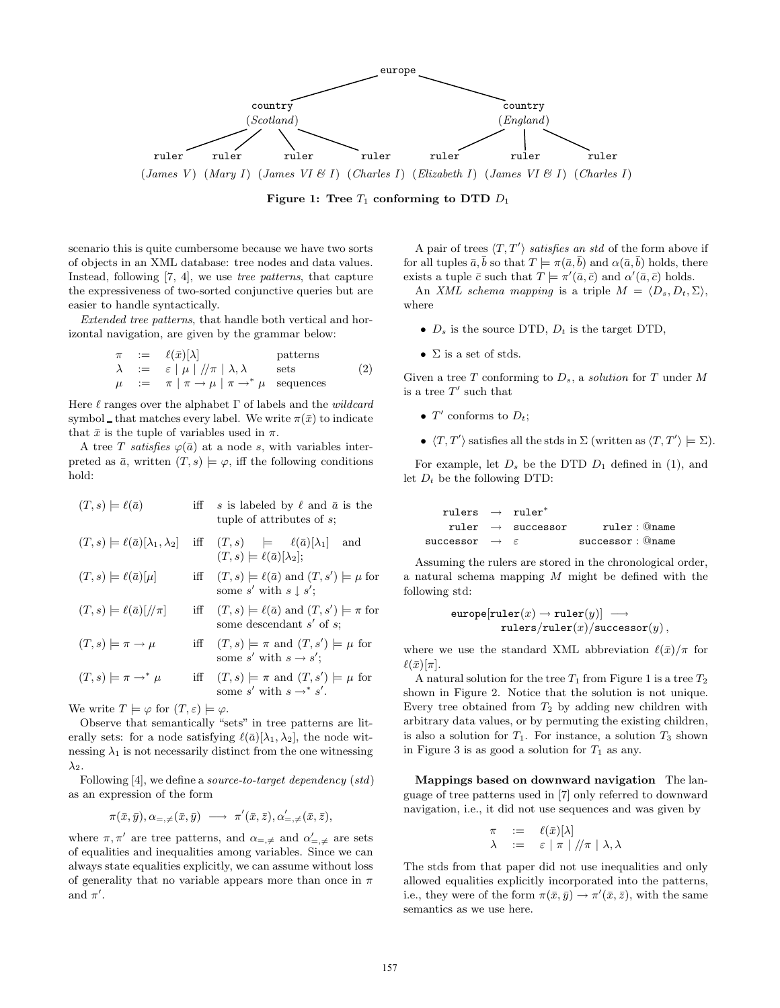

Figure 1: Tree  $T_1$  conforming to DTD  $D_1$ 

scenario this is quite cumbersome because we have two sorts of objects in an XML database: tree nodes and data values. Instead, following [7, 4], we use tree patterns, that capture the expressiveness of two-sorted conjunctive queries but are easier to handle syntactically.

Extended tree patterns, that handle both vertical and horizontal navigation, are given by the grammar below:

$$
\begin{array}{rcl}\n\pi & := & \ell(\bar{x})[\lambda] & \text{patterns} \\
\lambda & := & \varepsilon \mid \mu \mid //\pi \mid \lambda, \lambda & \text{sets} \\
\mu & := & \pi \mid \pi \to \mu \mid \pi \to^* \mu & \text{sequences}\n\end{array} \tag{2}
$$

Here  $\ell$  ranges over the alphabet  $\Gamma$  of labels and the *wildcard* symbol that matches every label. We write  $\pi(\bar{x})$  to indicate that  $\bar{x}$  is the tuple of variables used in  $\pi$ .

A tree T satisfies  $\varphi(\bar{a})$  at a node s, with variables interpreted as  $\bar{a}$ , written  $(T, s) \models \varphi$ , iff the following conditions hold:

| $(T,s)\models \ell(\bar{a})$                                          | iff | s is labeled by $\ell$ and $\bar{a}$ is the<br>tuple of attributes of $s$ ;                       |
|-----------------------------------------------------------------------|-----|---------------------------------------------------------------------------------------------------|
| $(T,s) \models \ell(\bar{a})[\lambda_1,\lambda_2]$                    |     | iff $(T, s) \models \ell(\bar{a})[\lambda_1]$<br>and<br>$(T,s) \models \ell(\bar{a})[\lambda_2];$ |
| $(T,s) \models \ell(\bar{a})[\mu]$                                    |     | iff $(T, s) \models \ell(\bar{a})$ and $(T, s') \models \mu$ for<br>some s' with $s \mid s'$ ;    |
| $(T,s) \models \ell(\bar{a})[\pi]$                                    |     | iff $(T, s) \models \ell(\bar{a})$ and $(T, s') \models \pi$ for<br>some descendant $s'$ of $s$ ; |
| $(T,s)\models \pi \rightarrow \mu$                                    |     | iff $(T, s) \models \pi$ and $(T, s') \models \mu$ for<br>some s' with $s \rightarrow s'$ ;       |
| $(T,s)\models \pi \rightarrow^* \mu$                                  |     | iff $(T, s) \models \pi$ and $(T, s') \models \mu$ for<br>some s' with $s \rightarrow^* s'$ .     |
| We write $T \models \varphi$ for $(T, \varepsilon) \models \varphi$ . |     |                                                                                                   |

Observe that semantically "sets" in tree patterns are literally sets: for a node satisfying  $\ell(\bar{a})[\lambda_1, \lambda_2]$ , the node witnessing  $\lambda_1$  is not necessarily distinct from the one witnessing  $\lambda_2$ .

Following [4], we define a *source-to-target dependency* (*std*) as an expression of the form

$$
\pi(\bar{x},\bar{y}),\alpha_{=,\neq}(\bar{x},\bar{y})\ \longrightarrow\ \pi'(\bar{x},\bar{z}),\alpha'_{=,\neq}(\bar{x},\bar{z}),
$$

where  $\pi, \pi'$  are tree patterns, and  $\alpha_{=,\neq}$  and  $\alpha'_{=,\neq}$  are sets of equalities and inequalities among variables. Since we can always state equalities explicitly, we can assume without loss of generality that no variable appears more than once in  $\pi$ and  $\pi'$ .

A pair of trees  $\langle T, T' \rangle$  satisfies an std of the form above if for all tuples  $\bar{a}, \bar{b}$  so that  $T \models \pi(\bar{a}, \bar{b})$  and  $\alpha(\bar{a}, \bar{b})$  holds, there exists a tuple  $\bar{c}$  such that  $T \models \pi'(\bar{a}, \bar{c})$  and  $\alpha'(\bar{a}, \bar{c})$  holds.

An XML schema mapping is a triple  $M = \langle D_s, D_t, \Sigma \rangle$ , where

- $D_s$  is the source DTD,  $D_t$  is the target DTD,
- $\Sigma$  is a set of stds.

Given a tree  $T$  conforming to  $D_s$ , a solution for  $T$  under  $M$ is a tree  $T'$  such that

- $T'$  conforms to  $D_t$ ;
- $\langle T, T' \rangle$  satisfies all the stds in  $\Sigma$  (written as  $\langle T, T' \rangle \models \Sigma$ ).

For example, let  $D_s$  be the DTD  $D_1$  defined in (1), and let  $D_t$  be the following DTD:

| rulers $\rightarrow$ ruler <sup>*</sup> |                               |                      |
|-----------------------------------------|-------------------------------|----------------------|
|                                         | ruler $\rightarrow$ successor | $rule: @name$        |
| successor $\rightarrow$ $\varepsilon$   |                               | $successor:$ $@name$ |

Assuming the rulers are stored in the chronological order, a natural schema mapping  $M$  might be defined with the following std:

$$
\texttt{europe}[\texttt{ruler}(x) \rightarrow \texttt{ruler}(y)] \; \longrightarrow \\ \texttt{rulers/ruler}(x)/\texttt{successor}(y) \, ,
$$

where we use the standard XML abbreviation  $\ell(\bar{x})/\pi$  for  $\ell(\bar{x})[\pi].$ 

A natural solution for the tree  $T_1$  from Figure 1 is a tree  $T_2$ shown in Figure 2. Notice that the solution is not unique. Every tree obtained from  $T_2$  by adding new children with arbitrary data values, or by permuting the existing children, is also a solution for  $T_1$ . For instance, a solution  $T_3$  shown in Figure 3 is as good a solution for  $T_1$  as any.

Mappings based on downward navigation The language of tree patterns used in [7] only referred to downward navigation, i.e., it did not use sequences and was given by

$$
\begin{array}{lll}\n\pi & := & \ell(\bar{x})[\lambda] \\
\lambda & := & \varepsilon \mid \pi \mid //\pi \mid \lambda, \lambda\n\end{array}
$$

The stds from that paper did not use inequalities and only allowed equalities explicitly incorporated into the patterns, i.e., they were of the form  $\pi(\bar{x}, \bar{y}) \to \pi'(\bar{x}, \bar{z})$ , with the same semantics as we use here.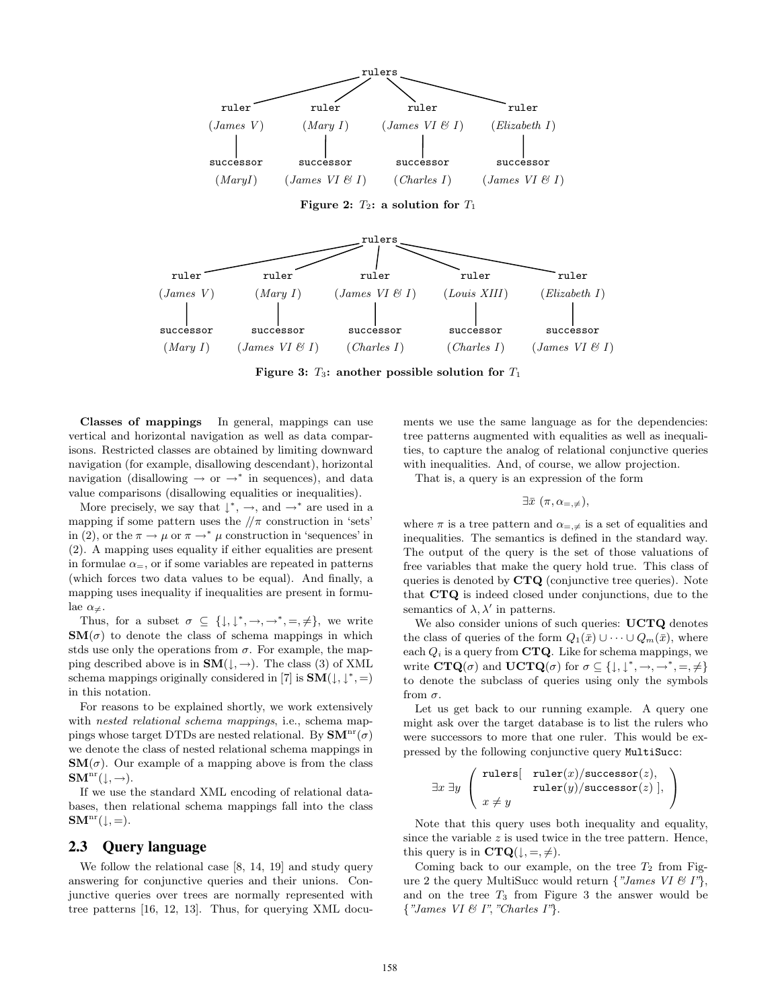

Figure 3:  $T_3$ : another possible solution for  $T_1$ 

Classes of mappings In general, mappings can use vertical and horizontal navigation as well as data comparisons. Restricted classes are obtained by limiting downward navigation (for example, disallowing descendant), horizontal navigation (disallowing  $\rightarrow$  or  $\rightarrow^*$  in sequences), and data value comparisons (disallowing equalities or inequalities).

More precisely, we say that  $\downarrow^*$ ,  $\rightarrow$ , and  $\rightarrow^*$  are used in a mapping if some pattern uses the  $/\pi$  construction in 'sets' in (2), or the  $\pi \to \mu$  or  $\pi \to^* \mu$  construction in 'sequences' in (2). A mapping uses equality if either equalities are present in formulae  $\alpha$ <sub>=</sub>, or if some variables are repeated in patterns (which forces two data values to be equal). And finally, a mapping uses inequality if inequalities are present in formulae  $\alpha_{\neq}$ .

Thus, for a subset  $\sigma \subseteq \{\downarrow, \downarrow^*, \rightarrow, \rightarrow^*, =, \neq\}$ , we write  $\mathbf{SM}(\sigma)$  to denote the class of schema mappings in which stds use only the operations from  $\sigma$ . For example, the mapping described above is in  $SM(\downarrow, \rightarrow)$ . The class (3) of XML schema mappings originally considered in [7] is  $\text{SM}(\downarrow, \downarrow^*, =)$ in this notation.

For reasons to be explained shortly, we work extensively with nested relational schema mappings, i.e., schema mappings whose target DTDs are nested relational. By  $\text{SM}^{\text{nr}}(\sigma)$ we denote the class of nested relational schema mappings in  $\mathbf{SM}(\sigma)$ . Our example of a mapping above is from the class  $SM<sup>nr</sup>(\downarrow, \rightarrow).$ 

If we use the standard XML encoding of relational databases, then relational schema mappings fall into the class  $\mathbf{S}\mathbf{M}^{\mathrm{nr}}(\downarrow, =).$ 

## **2.3 Query language**

We follow the relational case [8, 14, 19] and study query answering for conjunctive queries and their unions. Conjunctive queries over trees are normally represented with tree patterns [16, 12, 13]. Thus, for querying XML documents we use the same language as for the dependencies: tree patterns augmented with equalities as well as inequalities, to capture the analog of relational conjunctive queries with inequalities. And, of course, we allow projection.

That is, a query is an expression of the form

$$
\exists \bar{x} \ (\pi, \alpha_{=, \neq}),
$$

where  $\pi$  is a tree pattern and  $\alpha_{=,\neq}$  is a set of equalities and inequalities. The semantics is defined in the standard way. The output of the query is the set of those valuations of free variables that make the query hold true. This class of queries is denoted by CTQ (conjunctive tree queries). Note that CTQ is indeed closed under conjunctions, due to the semantics of  $\lambda, \lambda'$  in patterns.

We also consider unions of such queries: UCTQ denotes the class of queries of the form  $Q_1(\bar{x}) \cup \cdots \cup Q_m(\bar{x})$ , where each  $Q_i$  is a query from **CTQ**. Like for schema mappings, we write  $\mathbf{CTQ}(\sigma)$  and  $\mathbf{UCTQ}(\sigma)$  for  $\sigma \subseteq \{\downarrow, \downarrow^*, \rightarrow, \rightarrow^*, =, \neq\}$ to denote the subclass of queries using only the symbols from  $\sigma$ .

Let us get back to our running example. A query one might ask over the target database is to list the rulers who were successors to more that one ruler. This would be expressed by the following conjunctive query MultiSucc:

$$
\exists x \exists y \left( \begin{array}{c} \mathtt{rulers}[-\mathtt{ruler}(x)/\mathtt{successor}(z),\\ \mathtt{ruler}(y)/\mathtt{successor}(z)],\\ x \neq y \end{array} \right)
$$

Note that this query uses both inequality and equality, since the variable  $z$  is used twice in the tree pattern. Hence, this query is in  $\mathbf{CTQ}(\downarrow, =, \neq).$ 

Coming back to our example, on the tree  $T_2$  from Figure 2 the query MultiSucc would return  $\{$  "James VI & I" $\},$ and on the tree  $T_3$  from Figure 3 the answer would be  $\{ "James VI & I", "Charles I"\}.$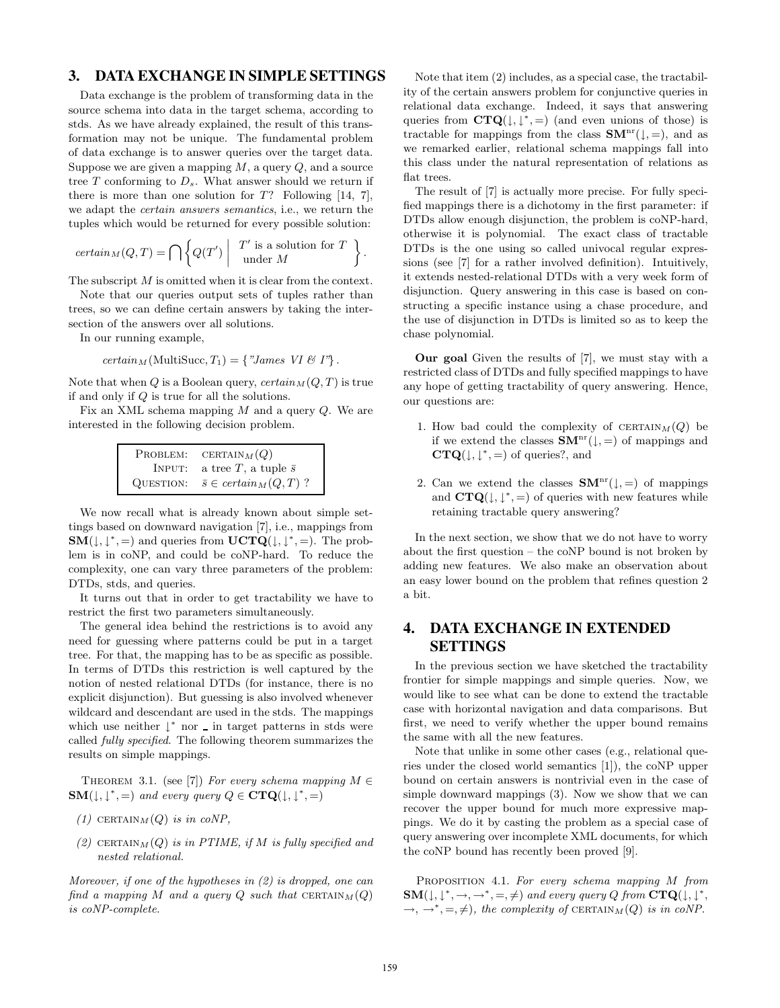# **3. DATA EXCHANGE IN SIMPLE SETTINGS**

Data exchange is the problem of transforming data in the source schema into data in the target schema, according to stds. As we have already explained, the result of this transformation may not be unique. The fundamental problem of data exchange is to answer queries over the target data. Suppose we are given a mapping  $M$ , a query  $Q$ , and a source tree  $T$  conforming to  $D_s$ . What answer should we return if there is more than one solution for  $T$ ? Following [14, 7], we adapt the certain answers semantics, i.e., we return the tuples which would be returned for every possible solution:

$$
certain_M(Q, T) = \bigcap \left\{ Q(T') \mid T' \text{ is a solution for } T \atop \text{under } M \right\}.
$$

The subscript M is omitted when it is clear from the context.

Note that our queries output sets of tuples rather than trees, so we can define certain answers by taking the intersection of the answers over all solutions.

In our running example,

$$
certain_M(\text{MultiSucc}, T_1) = \{ "James VI \& I"\}.
$$

Note that when Q is a Boolean query,  $certain_M(Q, T)$  is true if and only if Q is true for all the solutions.

Fix an XML schema mapping M and a query Q. We are interested in the following decision problem.

| PROBLEM:  | CERTAIN $_M(Q)$                                |
|-----------|------------------------------------------------|
| INPUT:    | a tree T, a tuple $\bar{s}$                    |
| QUESTION: | $\bar{s} \in \operatorname{certain}_M(Q, T)$ ? |

We now recall what is already known about simple settings based on downward navigation [7], i.e., mappings from  $SM(\downarrow, \downarrow^*, =)$  and queries from  $\mathbf{UCTQ}(\downarrow, \downarrow^*, =)$ . The problem is in coNP, and could be coNP-hard. To reduce the complexity, one can vary three parameters of the problem: DTDs, stds, and queries.

It turns out that in order to get tractability we have to restrict the first two parameters simultaneously.

The general idea behind the restrictions is to avoid any need for guessing where patterns could be put in a target tree. For that, the mapping has to be as specific as possible. In terms of DTDs this restriction is well captured by the notion of nested relational DTDs (for instance, there is no explicit disjunction). But guessing is also involved whenever wildcard and descendant are used in the stds. The mappings which use neither  $\downarrow^*$  nor  $\angle$  in target patterns in stds were called fully specified. The following theorem summarizes the results on simple mappings.

THEOREM 3.1. (see [7]) For every schema mapping  $M \in$  $\text{SM}(\downarrow, \downarrow^*, =)$  and every query  $Q \in \text{CTQ}(\downarrow, \downarrow^*, =)$ 

- (1) CERTAIN $_M(Q)$  is in coNP,
- (2) CERTAIN $_M(Q)$  is in PTIME, if M is fully specified and nested relational.

Moreover, if one of the hypotheses in (2) is dropped, one can find a mapping M and a query  $Q$  such that  $CERTAIN_M(Q)$ is coNP-complete.

Note that item (2) includes, as a special case, the tractability of the certain answers problem for conjunctive queries in relational data exchange. Indeed, it says that answering queries from  $\mathbf{CTQ}(\downarrow, \downarrow^*, =)$  (and even unions of those) is tractable for mappings from the class  $\text{SM}^{\text{nr}}(\downarrow, =)$ , and as we remarked earlier, relational schema mappings fall into this class under the natural representation of relations as flat trees.

The result of [7] is actually more precise. For fully specified mappings there is a dichotomy in the first parameter: if DTDs allow enough disjunction, the problem is coNP-hard, otherwise it is polynomial. The exact class of tractable DTDs is the one using so called univocal regular expressions (see [7] for a rather involved definition). Intuitively, it extends nested-relational DTDs with a very week form of disjunction. Query answering in this case is based on constructing a specific instance using a chase procedure, and the use of disjunction in DTDs is limited so as to keep the chase polynomial.

Our goal Given the results of [7], we must stay with a restricted class of DTDs and fully specified mappings to have any hope of getting tractability of query answering. Hence, our questions are:

- 1. How bad could the complexity of  $CERTAIN_M(Q)$  be if we extend the classes  $\text{SM}^{\text{nr}}(\downarrow, =)$  of mappings and  $CTQ(\downarrow, \downarrow^*, =)$  of queries?, and
- 2. Can we extend the classes  $\mathbf{S}\mathbf{M}^{\text{nr}}(\downarrow, =)$  of mappings and  $CTQ(\downarrow, \downarrow^*, =)$  of queries with new features while retaining tractable query answering?

In the next section, we show that we do not have to worry about the first question – the coNP bound is not broken by adding new features. We also make an observation about an easy lower bound on the problem that refines question 2 a bit.

# **4. DATA EXCHANGE IN EXTENDED SETTINGS**

In the previous section we have sketched the tractability frontier for simple mappings and simple queries. Now, we would like to see what can be done to extend the tractable case with horizontal navigation and data comparisons. But first, we need to verify whether the upper bound remains the same with all the new features.

Note that unlike in some other cases (e.g., relational queries under the closed world semantics [1]), the coNP upper bound on certain answers is nontrivial even in the case of simple downward mappings (3). Now we show that we can recover the upper bound for much more expressive mappings. We do it by casting the problem as a special case of query answering over incomplete XML documents, for which the coNP bound has recently been proved [9].

PROPOSITION 4.1. For every schema mapping M from  $\text{SM}(\downarrow, \downarrow^*, \rightarrow, \rightarrow^*, =, \neq)$  and every query Q from  $\text{CTQ}(\downarrow, \downarrow^*,$  $\rightarrow, \rightarrow^*, =, \neq),$  the complexity of CERTAIN<sub>M</sub>(Q) is in coNP.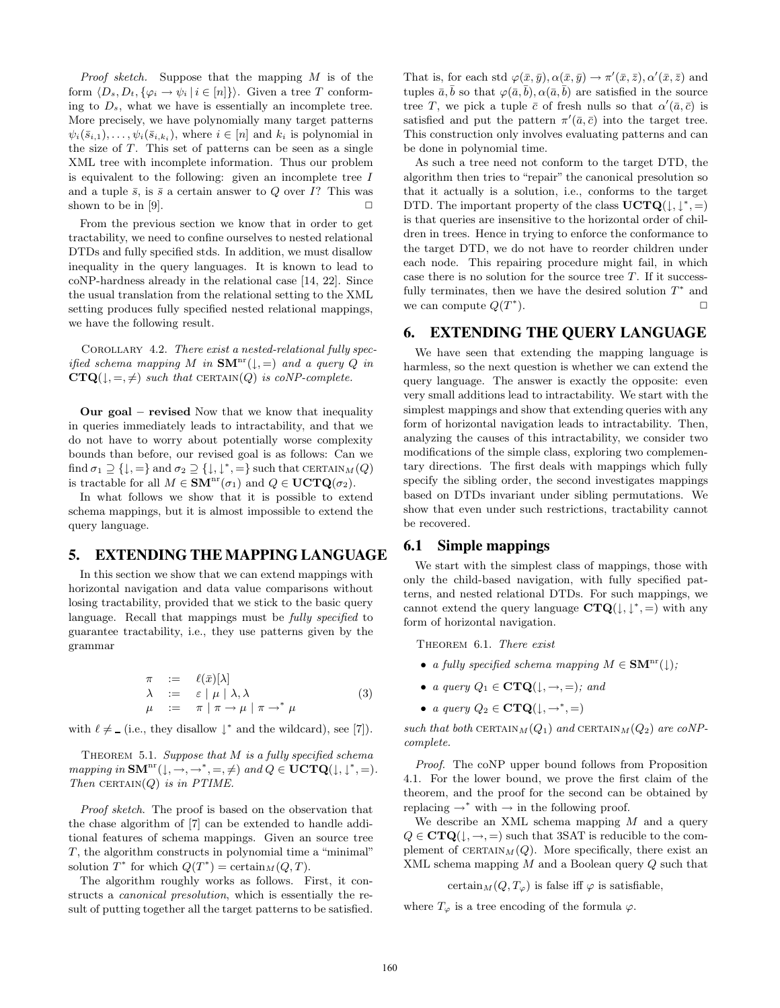*Proof sketch.* Suppose that the mapping  $M$  is of the form  $\langle D_s, D_t, \{\varphi_i \to \psi_i \, | \, i \in [n] \} \rangle$ . Given a tree T conforming to  $D_s$ , what we have is essentially an incomplete tree. More precisely, we have polynomially many target patterns  $\psi_i(\bar{s}_{i,1}), \ldots, \psi_i(\bar{s}_{i,k_i}),$  where  $i \in [n]$  and  $k_i$  is polynomial in the size of  $T$ . This set of patterns can be seen as a single XML tree with incomplete information. Thus our problem is equivalent to the following: given an incomplete tree I and a tuple  $\bar{s}$ , is  $\bar{s}$  a certain answer to Q over I? This was shown to be in [9].  $\Box$ 

From the previous section we know that in order to get tractability, we need to confine ourselves to nested relational DTDs and fully specified stds. In addition, we must disallow inequality in the query languages. It is known to lead to coNP-hardness already in the relational case [14, 22]. Since the usual translation from the relational setting to the XML setting produces fully specified nested relational mappings, we have the following result.

COROLLARY 4.2. There exist a nested-relational fully specified schema mapping M in  $\text{SM}^{\text{nr}}(\downarrow, =)$  and a query Q in  $CTQ(\downarrow, =, \neq)$  such that CERTAIN(Q) is coNP-complete.

Our goal – revised Now that we know that inequality in queries immediately leads to intractability, and that we do not have to worry about potentially worse complexity bounds than before, our revised goal is as follows: Can we find  $\sigma_1 \supseteq {\downarrow, =}$  and  $\sigma_2 \supseteq {\downarrow, \downarrow^*, =}$  such that CERTAIN $_M(Q)$ is tractable for all  $M \in \text{SM}^{\text{nr}}(\sigma_1)$  and  $Q \in \text{UCTQ}(\sigma_2)$ .

In what follows we show that it is possible to extend schema mappings, but it is almost impossible to extend the query language.

# **5. EXTENDING THE MAPPING LANGUAGE**

In this section we show that we can extend mappings with horizontal navigation and data value comparisons without losing tractability, provided that we stick to the basic query language. Recall that mappings must be *fully specified* to guarantee tractability, i.e., they use patterns given by the grammar

$$
\begin{array}{rcl}\n\pi & := & \ell(\bar{x})[\lambda] \\
\lambda & := & \varepsilon \mid \mu \mid \lambda, \lambda \\
\mu & := & \pi \mid \pi \to \mu \mid \pi \to^* \mu\n\end{array} \tag{3}
$$

with  $\ell \neq (i.e., they disallow \downarrow^*$  and the wildcard), see [7]).

THEOREM 5.1. Suppose that  $M$  is a fully specified schema mapping in  $\text{SM}^{\text{nr}}(\downarrow, \rightarrow, \rightarrow^* , =, \neq)$  and  $Q \in \text{UCTQ}(\downarrow, \downarrow^* , =)$ . Then CERTAIN $(Q)$  is in PTIME.

Proof sketch. The proof is based on the observation that the chase algorithm of [7] can be extended to handle additional features of schema mappings. Given an source tree T, the algorithm constructs in polynomial time a "minimal" solution  $T^*$  for which  $Q(T^*) = \text{certain}_M(Q, T)$ .

The algorithm roughly works as follows. First, it constructs a canonical presolution, which is essentially the result of putting together all the target patterns to be satisfied.

That is, for each std  $\varphi(\bar{x}, \bar{y}), \alpha(\bar{x}, \bar{y}) \to \pi'(\bar{x}, \bar{z}), \alpha'(\bar{x}, \bar{z})$  and tuples  $\bar{a}, \bar{b}$  so that  $\varphi(\bar{a}, \bar{b}), \alpha(\bar{a}, \bar{b})$  are satisfied in the source tree T, we pick a tuple  $\bar{c}$  of fresh nulls so that  $\alpha'(\bar{a}, \bar{c})$  is satisfied and put the pattern  $\pi'(\bar{a}, \bar{c})$  into the target tree. This construction only involves evaluating patterns and can be done in polynomial time.

As such a tree need not conform to the target DTD, the algorithm then tries to "repair" the canonical presolution so that it actually is a solution, i.e., conforms to the target DTD. The important property of the class  $\mathbf{UCTQ}(\downarrow, \downarrow^*,=)$ is that queries are insensitive to the horizontal order of children in trees. Hence in trying to enforce the conformance to the target DTD, we do not have to reorder children under each node. This repairing procedure might fail, in which case there is no solution for the source tree  $T$ . If it successfully terminates, then we have the desired solution  $T^*$  and we can compute  $Q(T^*)$ ).  $\Box$ 

#### **6. EXTENDING THE QUERY LANGUAGE**

We have seen that extending the mapping language is harmless, so the next question is whether we can extend the query language. The answer is exactly the opposite: even very small additions lead to intractability. We start with the simplest mappings and show that extending queries with any form of horizontal navigation leads to intractability. Then, analyzing the causes of this intractability, we consider two modifications of the simple class, exploring two complementary directions. The first deals with mappings which fully specify the sibling order, the second investigates mappings based on DTDs invariant under sibling permutations. We show that even under such restrictions, tractability cannot be recovered.

## **6.1 Simple mappings**

We start with the simplest class of mappings, those with only the child-based navigation, with fully specified patterns, and nested relational DTDs. For such mappings, we cannot extend the query language  $CTQ(\downarrow, \downarrow^*, =)$  with any form of horizontal navigation.

THEOREM 6.1. There exist

- a fully specified schema mapping  $M \in \mathbf{SM}^{\text{nr}}(\downarrow)$ ;
- a query  $Q_1 \in \mathbf{CTQ}(\downarrow, \rightarrow, =);$  and
- a query  $Q_2 \in \mathbf{CTQ}(\downarrow, \rightarrow^*, =)$

such that both CERTAIN $_M(Q_1)$  and CERTAIN $_M(Q_2)$  are coNPcomplete.

Proof. The coNP upper bound follows from Proposition 4.1. For the lower bound, we prove the first claim of the theorem, and the proof for the second can be obtained by replacing  $\rightarrow^*$  with  $\rightarrow$  in the following proof.

We describe an XML schema mapping  $M$  and a query  $Q \in \mathbf{CTQ}(\downarrow, \rightarrow, =)$  such that 3SAT is reducible to the complement of  $CERTAIN_M(Q)$ . More specifically, there exist an XML schema mapping M and a Boolean query Q such that

certain $_M(Q, T_{\varphi})$  is false iff  $\varphi$  is satisfiable,

where  $T_{\varphi}$  is a tree encoding of the formula  $\varphi$ .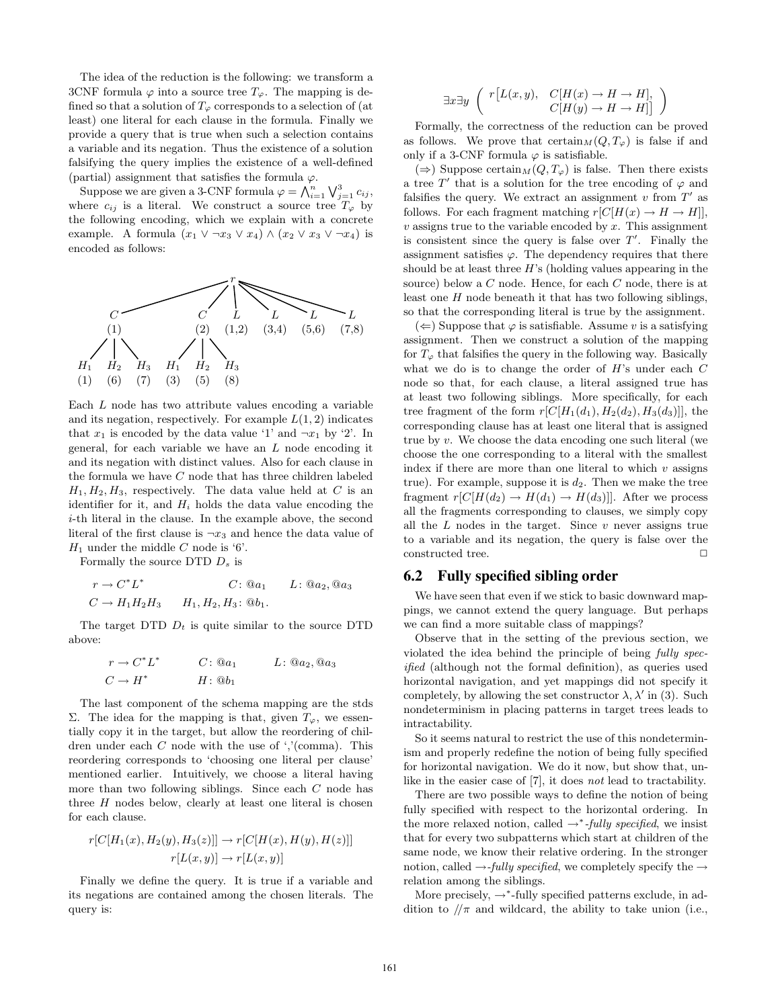The idea of the reduction is the following: we transform a 3CNF formula  $\varphi$  into a source tree  $T_{\varphi}$ . The mapping is defined so that a solution of  $T_{\varphi}$  corresponds to a selection of (at least) one literal for each clause in the formula. Finally we provide a query that is true when such a selection contains a variable and its negation. Thus the existence of a solution falsifying the query implies the existence of a well-defined (partial) assignment that satisfies the formula  $\varphi$ .

Suppose we are given a 3-CNF formula  $\varphi = \bigwedge_{i=1}^n \bigvee_{j=1}^3 c_{ij},$ where  $c_{ij}$  is a literal. We construct a source tree  $T_{\varphi}$  by the following encoding, which we explain with a concrete example. A formula  $(x_1 \vee \neg x_3 \vee x_4) \wedge (x_2 \vee x_3 \vee \neg x_4)$  is encoded as follows:



Each L node has two attribute values encoding a variable and its negation, respectively. For example  $L(1, 2)$  indicates that  $x_1$  is encoded by the data value '1' and  $\neg x_1$  by '2'. In general, for each variable we have an L node encoding it and its negation with distinct values. Also for each clause in the formula we have  $C$  node that has three children labeled  $H_1, H_2, H_3$ , respectively. The data value held at C is an identifier for it, and  $H_i$  holds the data value encoding the i-th literal in the clause. In the example above, the second literal of the first clause is  $\neg x_3$  and hence the data value of  $H_1$  under the middle C node is '6'.

Formally the source DTD  $D_s$  is

$$
r \to C^* L^*
$$
  
\n
$$
C: \textcircled{a}_{a_1} L: \textcircled{a}_{a_2}, \textcircled{a}_{a_3}
$$
  
\n
$$
C \to H_1 H_2 H_3 \qquad H_1, H_2, H_3: \textcircled{b}_1.
$$

The target DTD  $D_t$  is quite similar to the source DTD above:

$$
r \to C^* L^* \qquad C : @a_1 \qquad L : @a_2, @a_3
$$
  

$$
C \to H^* \qquad H : @b_1
$$

The last component of the schema mapping are the stds Σ. The idea for the mapping is that, given  $T<sub>ϕ</sub>$ , we essentially copy it in the target, but allow the reordering of children under each C node with the use of ','(comma). This reordering corresponds to 'choosing one literal per clause' mentioned earlier. Intuitively, we choose a literal having more than two following siblings. Since each C node has three  $H$  nodes below, clearly at least one literal is chosen for each clause.

$$
r[C[H_1(x), H_2(y), H_3(z)]] \to r[C[H(x), H(y), H(z)]]
$$

$$
r[L(x, y)] \to r[L(x, y)]
$$

Finally we define the query. It is true if a variable and its negations are contained among the chosen literals. The query is:

$$
\exists x \exists y \ \begin{pmatrix} r[L(x, y), & C[H(x) \to H \to H], \\ C[H(y) \to H \to H]] \end{pmatrix}
$$

Formally, the correctness of the reduction can be proved as follows. We prove that  $certain_M(Q,T_\varphi)$  is false if and only if a 3-CNF formula  $\varphi$  is satisfiable.

 $(\Rightarrow)$  Suppose certain $_M(Q, T_{\varphi})$  is false. Then there exists a tree  $T'$  that is a solution for the tree encoding of  $\varphi$  and falsifies the query. We extract an assignment  $v$  from  $T'$  as follows. For each fragment matching  $r[C[H(x) \rightarrow H \rightarrow H]]$ ,  $v$  assigns true to the variable encoded by  $x$ . This assignment is consistent since the query is false over  $T'$ . Finally the assignment satisfies  $\varphi$ . The dependency requires that there should be at least three  $H$ 's (holding values appearing in the source) below a C node. Hence, for each C node, there is at least one  $H$  node beneath it that has two following siblings, so that the corresponding literal is true by the assignment.

 $(\Leftarrow)$  Suppose that  $\varphi$  is satisfiable. Assume v is a satisfying assignment. Then we construct a solution of the mapping for  $T_{\varphi}$  that falsifies the query in the following way. Basically what we do is to change the order of  $H$ 's under each  $C$ node so that, for each clause, a literal assigned true has at least two following siblings. More specifically, for each tree fragment of the form  $r[C|H_1(d_1), H_2(d_2), H_3(d_3)]$ , the corresponding clause has at least one literal that is assigned true by v. We choose the data encoding one such literal (we choose the one corresponding to a literal with the smallest index if there are more than one literal to which  $v$  assigns true). For example, suppose it is  $d_2$ . Then we make the tree fragment  $r[C]H(d_2) \to H(d_1) \to H(d_3)$ ]. After we process all the fragments corresponding to clauses, we simply copy all the  $L$  nodes in the target. Since  $v$  never assigns true to a variable and its negation, the query is false over the constructed tree.  $\hfill \Box$ 

## **6.2 Fully specified sibling order**

We have seen that even if we stick to basic downward mappings, we cannot extend the query language. But perhaps we can find a more suitable class of mappings?

Observe that in the setting of the previous section, we violated the idea behind the principle of being fully specified (although not the formal definition), as queries used horizontal navigation, and yet mappings did not specify it completely, by allowing the set constructor  $\lambda$ ,  $\lambda'$  in (3). Such nondeterminism in placing patterns in target trees leads to intractability.

So it seems natural to restrict the use of this nondeterminism and properly redefine the notion of being fully specified for horizontal navigation. We do it now, but show that, unlike in the easier case of [7], it does not lead to tractability.

There are two possible ways to define the notion of being fully specified with respect to the horizontal ordering. In the more relaxed notion, called  $\rightarrow^*$ -fully specified, we insist that for every two subpatterns which start at children of the same node, we know their relative ordering. In the stronger notion, called  $\rightarrow$ -*fully specified*, we completely specify the  $\rightarrow$ relation among the siblings.

More precisely,  $\rightarrow^*$ -fully specified patterns exclude, in addition to  $/\pi$  and wildcard, the ability to take union (i.e.,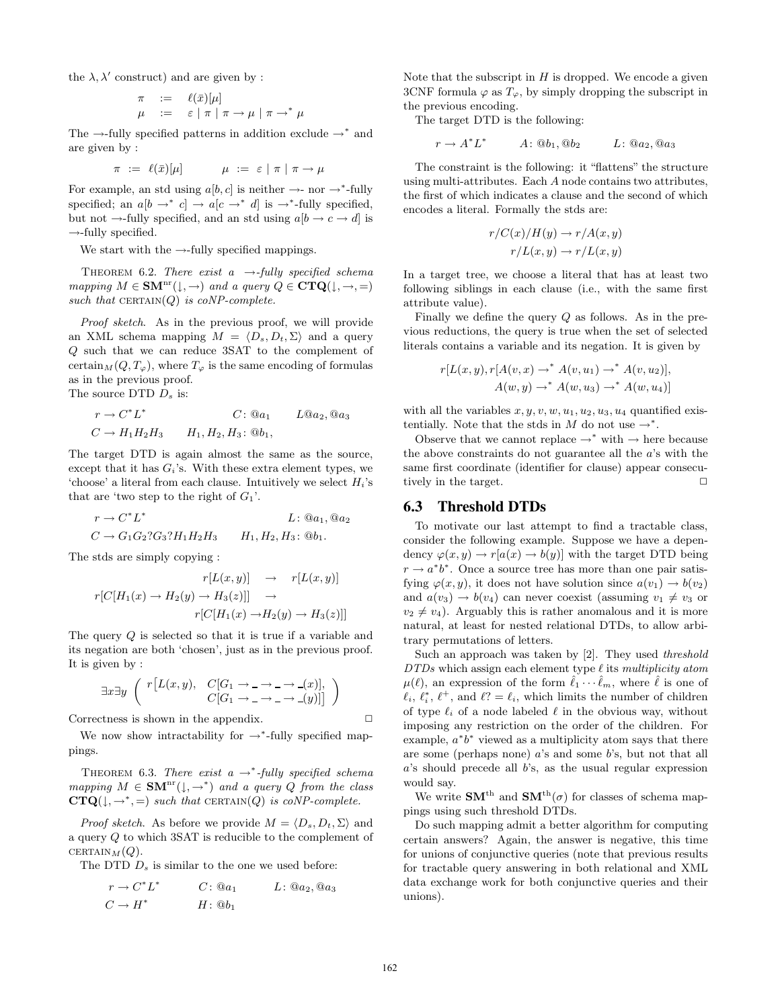the  $\lambda$ ,  $\lambda'$  construct) and are given by :

$$
\begin{array}{lll}\n\pi & := & \ell(\bar{x})[\mu] \\
\mu & := & \varepsilon \mid \pi \mid \pi \to \mu \mid \pi \to^* \mu\n\end{array}
$$

The →-fully specified patterns in addition exclude  $\rightarrow^*$  and are given by :

$$
\pi \ := \ \ell(\bar{x})[\mu] \qquad \qquad \mu \ := \ \varepsilon \mid \pi \mid \pi \to \mu
$$

For example, an std using  $a[b, c]$  is neither  $\rightarrow$ - nor  $\rightarrow^*$ -fully specified; an  $a[b \rightarrow^* c] \rightarrow a[c \rightarrow^* d]$  is  $\rightarrow^*$ -fully specified, but not  $\rightarrow$ -fully specified, and an std using  $a[b \rightarrow c \rightarrow d]$  is  $\rightarrow$ -fully specified.

We start with the  $\rightarrow$ -fully specified mappings.

THEOREM 6.2. There exist a  $\rightarrow$ -fully specified schema mapping  $M \in \text{SM}^{\text{nr}}(\downarrow, \rightarrow)$  and a query  $Q \in \text{CTQ}(\downarrow, \rightarrow, =)$ such that  $CERTAIN(Q)$  is coNP-complete.

Proof sketch. As in the previous proof, we will provide an XML schema mapping  $M = \langle D_s, D_t, \Sigma \rangle$  and a query Q such that we can reduce 3SAT to the complement of certain $_M(Q, T_{\varphi})$ , where  $T_{\varphi}$  is the same encoding of formulas as in the previous proof. The source DTD  $D_s$  is:

$$
r \to C^* L^*
$$
  
\n
$$
C: @a_1
$$
  
\n
$$
L @a_2, @a_3
$$
  
\n
$$
C \to H_1 H_2 H_3
$$
  
\n
$$
H_1, H_2, H_3: @b_1,
$$

The target DTD is again almost the same as the source, except that it has  $G_i$ 's. With these extra element types, we 'choose' a literal from each clause. Intuitively we select  $H_i$ 's that are 'two step to the right of  $G_1$ '.

$$
r \to C^* L^*
$$
   
\n $L: \text{@}a_1, \text{@}a_2$   
\n $C \to G_1 G_2? G_3? H_1 H_2 H_3$   $H_1, H_2, H_3: \text{@}b_1.$ 

The stds are simply copying :

$$
r[L(x, y)] \rightarrow r[L(x, y)]
$$
  

$$
r[C[H_1(x) \rightarrow H_2(y) \rightarrow H_3(z)]] \rightarrow
$$
  

$$
r[C[H_1(x) \rightarrow H_2(y) \rightarrow H_3(z)]]
$$

The query Q is selected so that it is true if a variable and its negation are both 'chosen', just as in the previous proof. It is given by :

∃x∃y " r ˆ L(x, y), C[G<sup>1</sup> → → → (x)], C[G<sup>1</sup> → → → (y)]˜ «

Correctness is shown in the appendix.  $\Box$ 

We now show intractability for →<sup>∗</sup> -fully specified mappings.

THEOREM 6.3. There exist  $a \rightarrow^*$ -fully specified schema mapping  $M \in \text{SMT}^{\text{nr}}(\downarrow, \rightarrow^*)$  and a query Q from the class  $CTQ(1, \rightarrow^* , =)$  such that CERTAIN(Q) is coNP-complete.

*Proof sketch.* As before we provide  $M = \langle D_s, D_t, \Sigma \rangle$  and a query Q to which 3SAT is reducible to the complement of CERTAIN $_M(Q)$ .

The DTD  $D_s$  is similar to the one we used before:

$$
r \to C^* L^* \qquad C: @a_1 \qquad L: @a_2, @a_3C \to H^* \qquad H: @b_1
$$

Note that the subscript in  $H$  is dropped. We encode a given 3CNF formula  $\varphi$  as  $T_{\varphi}$ , by simply dropping the subscript in the previous encoding.

The target DTD is the following:

$$
r \to A^* L^* \qquad A \colon @b_1, @b_2 \qquad L \colon @a_2, @a_3
$$

The constraint is the following: it "flattens" the structure using multi-attributes. Each A node contains two attributes, the first of which indicates a clause and the second of which encodes a literal. Formally the stds are:

$$
r/C(x)/H(y) \to r/A(x,y)
$$

$$
r/L(x,y) \to r/L(x,y)
$$

In a target tree, we choose a literal that has at least two following siblings in each clause (i.e., with the same first attribute value).

Finally we define the query  $Q$  as follows. As in the previous reductions, the query is true when the set of selected literals contains a variable and its negation. It is given by

$$
r[L(x,y),r[A(v,x) \rightarrow^* A(v,u_1) \rightarrow^* A(v,u_2)],
$$
  

$$
A(w,y) \rightarrow^* A(w,u_3) \rightarrow^* A(w,u_4)]
$$

with all the variables  $x, y, v, w, u_1, u_2, u_3, u_4$  quantified existentially. Note that the stds in  $M$  do not use  $\rightarrow^*$ .

Observe that we cannot replace  $\rightarrow^*$  with  $\rightarrow$  here because the above constraints do not guarantee all the a's with the same first coordinate (identifier for clause) appear consecutively in the target.  $\Box$ 

## **6.3 Threshold DTDs**

To motivate our last attempt to find a tractable class, consider the following example. Suppose we have a dependency  $\varphi(x, y) \to r[a(x) \to b(y)]$  with the target DTD being  $r \rightarrow a^*b^*$ . Once a source tree has more than one pair satisfying  $\varphi(x, y)$ , it does not have solution since  $a(v_1) \to b(v_2)$ and  $a(v_3) \rightarrow b(v_4)$  can never coexist (assuming  $v_1 \neq v_3$  or  $v_2 \neq v_4$ ). Arguably this is rather anomalous and it is more natural, at least for nested relational DTDs, to allow arbitrary permutations of letters.

Such an approach was taken by [2]. They used threshold  $DTDs$  which assign each element type  $\ell$  its multiplicity atom  $\mu(\ell)$ , an expression of the form  $\hat{\ell}_1 \cdots \hat{\ell}_m$ , where  $\hat{\ell}$  is one of  $\ell_i, \ell_i^*, \ell^+, \text{ and } \ell_i^* = \ell_i$ , which limits the number of children of type  $\ell_i$  of a node labeled  $\ell$  in the obvious way, without imposing any restriction on the order of the children. For example,  $a^*b^*$  viewed as a multiplicity atom says that there are some (perhaps none)  $a$ 's and some  $b$ 's, but not that all  $a$ 's should precede all  $b$ 's, as the usual regular expression would say.

We write  $\text{SM}^{\text{th}}$  and  $\text{SM}^{\text{th}}(\sigma)$  for classes of schema mappings using such threshold DTDs.

Do such mapping admit a better algorithm for computing certain answers? Again, the answer is negative, this time for unions of conjunctive queries (note that previous results for tractable query answering in both relational and XML data exchange work for both conjunctive queries and their unions).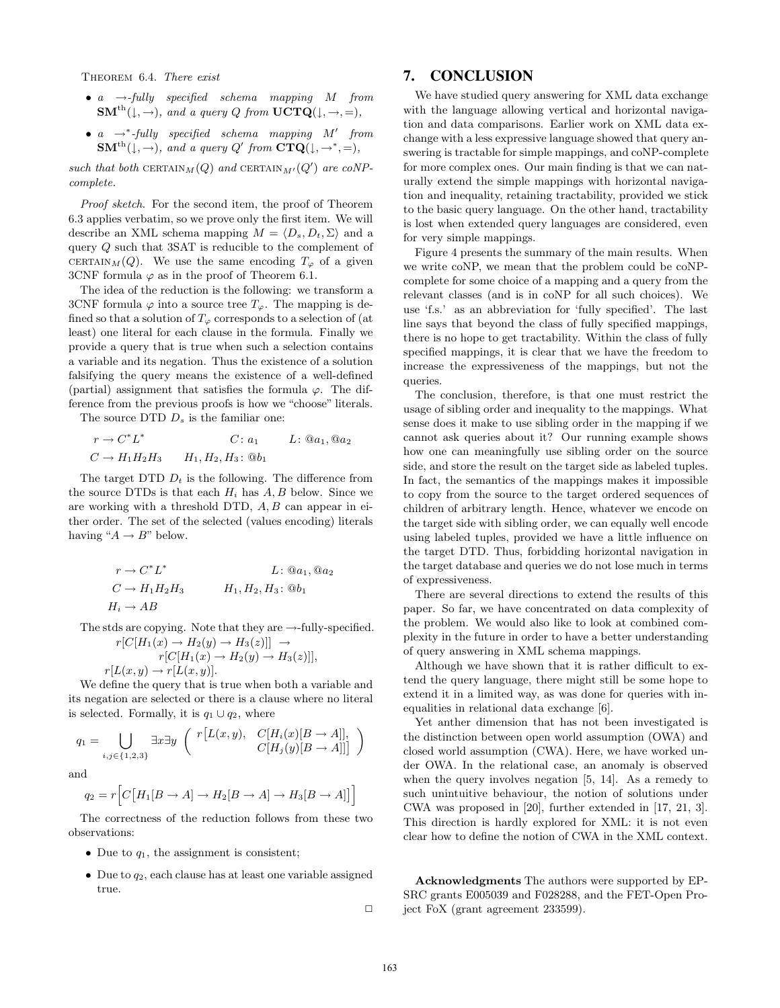THEOREM 6.4. There exist

- $a \rightarrow$ -fully specified schema mapping M from  $\textbf{SM}^{\text{th}}(\downarrow, \rightarrow)$ , and a query Q from  $\textbf{UCTQ}(\downarrow, \rightarrow, =)$ ,
- $a \rightarrow^*$ -fully specified schema mapping M' from  ${\bf SM}^{\rm th}(\downarrow, \rightarrow)$ , and a query Q' from  ${\bf CTQ}(\downarrow, \rightarrow^*,\equiv)$ ,

such that both CERTAIN $_M(Q)$  and CERTAIN $_{M'}(Q')$  are coNPcomplete.

Proof sketch. For the second item, the proof of Theorem 6.3 applies verbatim, so we prove only the first item. We will describe an XML schema mapping  $M = \langle D_s, D_t, \Sigma \rangle$  and a query Q such that 3SAT is reducible to the complement of CERTAIN $M(Q)$ . We use the same encoding  $T_{\varphi}$  of a given 3CNF formula  $\varphi$  as in the proof of Theorem 6.1.

The idea of the reduction is the following: we transform a 3CNF formula  $\varphi$  into a source tree  $T_{\varphi}$ . The mapping is defined so that a solution of  $T_{\varphi}$  corresponds to a selection of (at least) one literal for each clause in the formula. Finally we provide a query that is true when such a selection contains a variable and its negation. Thus the existence of a solution falsifying the query means the existence of a well-defined (partial) assignment that satisfies the formula  $\varphi$ . The difference from the previous proofs is how we "choose" literals.

The source DTD  $D_s$  is the familiar one:

$$
r \to C^* L^*
$$
  
\n
$$
C: a_1
$$
  
\n
$$
L: @a_1, @a_2
$$
  
\n
$$
C \to H_1 H_2 H_3
$$
  
\n
$$
H_1, H_2, H_3: @b_1
$$

The target DTD  $D_t$  is the following. The difference from the source DTDs is that each  $H_i$  has  $A, B$  below. Since we are working with a threshold DTD,  $A, B$  can appear in either order. The set of the selected (values encoding) literals having " $A \rightarrow B$ " below.

$$
r \to C^* L^* \qquad L: @a_1, @a_2C \to H_1 H_2 H_3 \qquad H_1, H_2, H_3: @b_1H_i \to AB
$$

The stds are copying. Note that they are  $\rightarrow$ -fully-specified.  $r[C|H_1(x) \rightarrow H_2(y) \rightarrow H_3(z)]$   $\rightarrow$ 

$$
r[C[H_1(x) \to H_2(y) \to H_3(z)]]
$$
  
 
$$
r[L(x,y) \to r[L(x,y)].
$$

We define the query that is true when both a variable and its negation are selected or there is a clause where no literal is selected. Formally, it is  $q_1 \cup q_2$ , where

$$
q_1 = \bigcup_{i,j \in \{1,2,3\}} \exists x \exists y \ \begin{pmatrix} r[L(x,y), & C[H_i(x)[B \to A]], \\ C[H_j(y)[B \to A]] \end{pmatrix}
$$

and

$$
q_2 = r \Big[ C \big[ H_1[B \to A] \to H_2[B \to A] \to H_3[B \to A] \big] \Big]
$$

The correctness of the reduction follows from these two observations:

- Due to  $q_1$ , the assignment is consistent;
- Due to  $q_2$ , each clause has at least one variable assigned true.

 $\Box$ 

## **7. CONCLUSION**

We have studied query answering for XML data exchange with the language allowing vertical and horizontal navigation and data comparisons. Earlier work on XML data exchange with a less expressive language showed that query answering is tractable for simple mappings, and coNP-complete for more complex ones. Our main finding is that we can naturally extend the simple mappings with horizontal navigation and inequality, retaining tractability, provided we stick to the basic query language. On the other hand, tractability is lost when extended query languages are considered, even for very simple mappings.

Figure 4 presents the summary of the main results. When we write coNP, we mean that the problem could be coNPcomplete for some choice of a mapping and a query from the relevant classes (and is in coNP for all such choices). We use 'f.s.' as an abbreviation for 'fully specified'. The last line says that beyond the class of fully specified mappings, there is no hope to get tractability. Within the class of fully specified mappings, it is clear that we have the freedom to increase the expressiveness of the mappings, but not the queries.

The conclusion, therefore, is that one must restrict the usage of sibling order and inequality to the mappings. What sense does it make to use sibling order in the mapping if we cannot ask queries about it? Our running example shows how one can meaningfully use sibling order on the source side, and store the result on the target side as labeled tuples. In fact, the semantics of the mappings makes it impossible to copy from the source to the target ordered sequences of children of arbitrary length. Hence, whatever we encode on the target side with sibling order, we can equally well encode using labeled tuples, provided we have a little influence on the target DTD. Thus, forbidding horizontal navigation in the target database and queries we do not lose much in terms of expressiveness.

There are several directions to extend the results of this paper. So far, we have concentrated on data complexity of the problem. We would also like to look at combined complexity in the future in order to have a better understanding of query answering in XML schema mappings.

Although we have shown that it is rather difficult to extend the query language, there might still be some hope to extend it in a limited way, as was done for queries with inequalities in relational data exchange [6].

Yet anther dimension that has not been investigated is the distinction between open world assumption (OWA) and closed world assumption (CWA). Here, we have worked under OWA. In the relational case, an anomaly is observed when the query involves negation [5, 14]. As a remedy to such unintuitive behaviour, the notion of solutions under CWA was proposed in [20], further extended in [17, 21, 3]. This direction is hardly explored for XML: it is not even clear how to define the notion of CWA in the XML context.

Acknowledgments The authors were supported by EP-SRC grants E005039 and F028288, and the FET-Open Project FoX (grant agreement 233599).